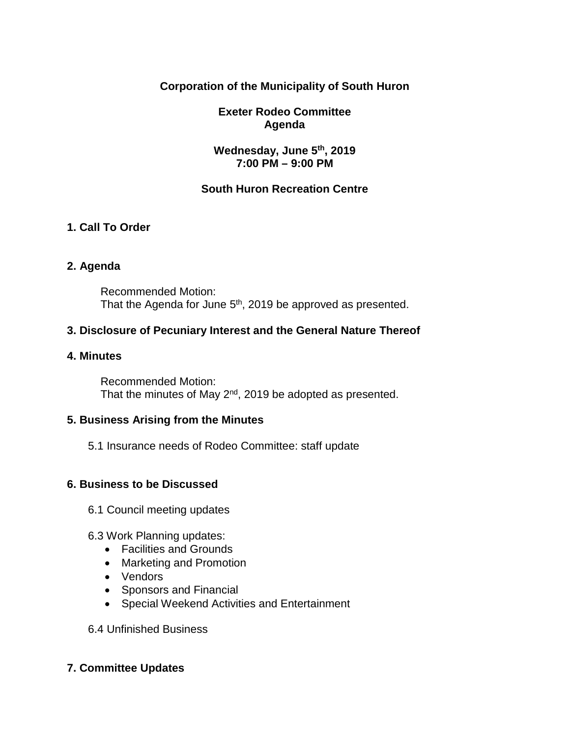## **Corporation of the Municipality of South Huron**

## **Exeter Rodeo Committee Agenda**

## **Wednesday, June 5th, 2019 7:00 PM – 9:00 PM**

## **South Huron Recreation Centre**

## **1. Call To Order**

### **2. Agenda**

Recommended Motion: That the Agenda for June 5<sup>th</sup>, 2019 be approved as presented.

## **3. Disclosure of Pecuniary Interest and the General Nature Thereof**

#### **4. Minutes**

Recommended Motion: That the minutes of May 2<sup>nd</sup>, 2019 be adopted as presented.

### **5. Business Arising from the Minutes**

5.1 Insurance needs of Rodeo Committee: staff update

### **6. Business to be Discussed**

- 6.1 Council meeting updates
- 6.3 Work Planning updates:
	- Facilities and Grounds
	- Marketing and Promotion
	- Vendors
	- Sponsors and Financial
	- Special Weekend Activities and Entertainment

6.4 Unfinished Business

### **7. Committee Updates**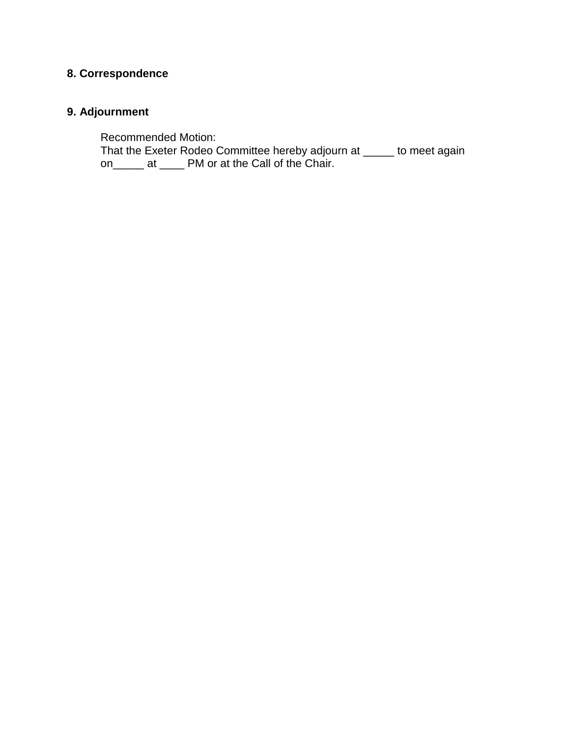# **8. Correspondence**

# **9. Adjournment**

Recommended Motion:

That the Exeter Rodeo Committee hereby adjourn at \_\_\_\_\_ to meet again on\_\_\_\_\_ at \_\_\_\_ PM or at the Call of the Chair.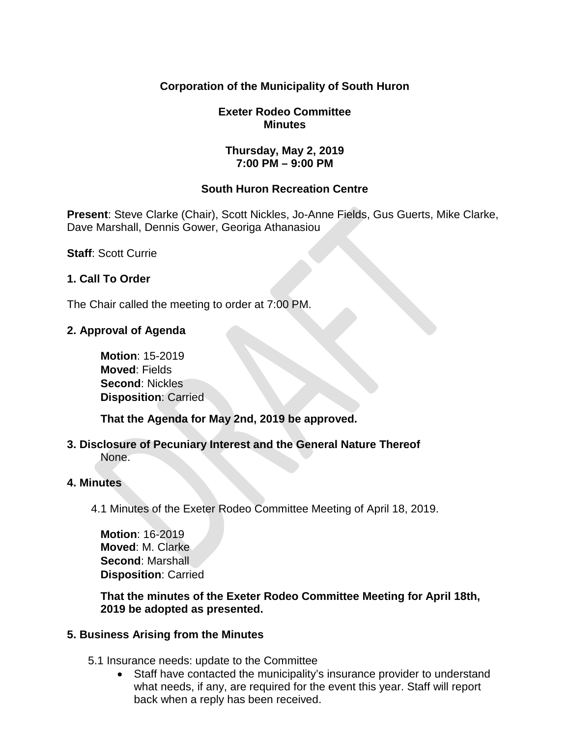## **Corporation of the Municipality of South Huron**

## **Exeter Rodeo Committee Minutes**

### **Thursday, May 2, 2019 7:00 PM – 9:00 PM**

## **South Huron Recreation Centre**

**Present**: Steve Clarke (Chair), Scott Nickles, Jo-Anne Fields, Gus Guerts, Mike Clarke, Dave Marshall, Dennis Gower, Georiga Athanasiou

**Staff**: Scott Currie

## **1. Call To Order**

The Chair called the meeting to order at 7:00 PM.

## **2. Approval of Agenda**

**Motion**: 15-2019 **Moved**: Fields **Second**: Nickles **Disposition**: Carried

**That the Agenda for May 2nd, 2019 be approved.** 

**3. Disclosure of Pecuniary Interest and the General Nature Thereof** None.

### **4. Minutes**

4.1 Minutes of the Exeter Rodeo Committee Meeting of April 18, 2019.

**Motion**: 16-2019 **Moved**: M. Clarke **Second**: Marshall **Disposition**: Carried

**That the minutes of the Exeter Rodeo Committee Meeting for April 18th, 2019 be adopted as presented.**

### **5. Business Arising from the Minutes**

- 5.1 Insurance needs: update to the Committee
	- Staff have contacted the municipality's insurance provider to understand what needs, if any, are required for the event this year. Staff will report back when a reply has been received.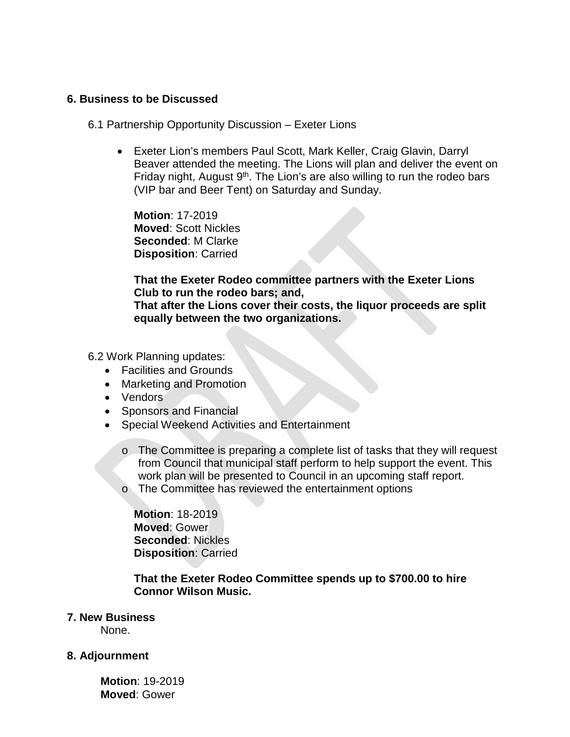#### **6. Business to be Discussed**

#### 6.1 Partnership Opportunity Discussion – Exeter Lions

• Exeter Lion's members Paul Scott, Mark Keller, Craig Glavin, Darryl Beaver attended the meeting. The Lions will plan and deliver the event on Friday night, August  $9<sup>th</sup>$ . The Lion's are also willing to run the rodeo bars (VIP bar and Beer Tent) on Saturday and Sunday.

**Motion**: 17-2019 **Moved**: Scott Nickles **Seconded**: M Clarke **Disposition**: Carried

**That the Exeter Rodeo committee partners with the Exeter Lions Club to run the rodeo bars; and, That after the Lions cover their costs, the liquor proceeds are split equally between the two organizations.**

6.2 Work Planning updates:

- Facilities and Grounds
- Marketing and Promotion
- Vendors
- Sponsors and Financial
- Special Weekend Activities and Entertainment
	- o The Committee is preparing a complete list of tasks that they will request from Council that municipal staff perform to help support the event. This work plan will be presented to Council in an upcoming staff report.
	- o The Committee has reviewed the entertainment options

**Motion**: 18-2019 **Moved**: Gower **Seconded**: Nickles **Disposition**: Carried

**That the Exeter Rodeo Committee spends up to \$700.00 to hire Connor Wilson Music.**

#### **7. New Business**

None.

#### **8. Adjournment**

**Motion**: 19-2019 **Moved**: Gower